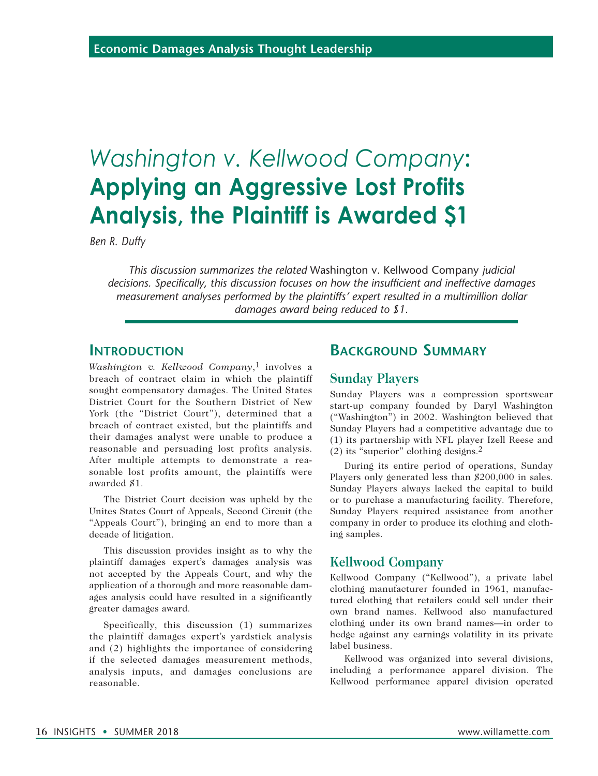# *Washington v. Kellwood Company***: Applying an Aggressive Lost Profits Analysis, the Plaintiff is Awarded \$1**

*Ben R. Duffy*

*This discussion summarizes the related* Washington v. Kellwood Company *judicial decisions. Specifically, this discussion focuses on how the insufficient and ineffective damages measurement analyses performed by the plaintiffs' expert resulted in a multimillion dollar damages award being reduced to \$1.*

### **Introduction**

*Washington v. Kellwood Company*,1 involves a breach of contract claim in which the plaintiff sought compensatory damages. The United States District Court for the Southern District of New York (the "District Court"), determined that a breach of contract existed, but the plaintiffs and their damages analyst were unable to produce a reasonable and persuading lost profits analysis. After multiple attempts to demonstrate a reasonable lost profits amount, the plaintiffs were awarded \$1.

The District Court decision was upheld by the Unites States Court of Appeals, Second Circuit (the "Appeals Court"), bringing an end to more than a decade of litigation.

This discussion provides insight as to why the plaintiff damages expert's damages analysis was not accepted by the Appeals Court, and why the application of a thorough and more reasonable damages analysis could have resulted in a significantly greater damages award.

Specifically, this discussion (1) summarizes the plaintiff damages expert's yardstick analysis and (2) highlights the importance of considering if the selected damages measurement methods, analysis inputs, and damages conclusions are reasonable.

# **Background Summary**

#### **Sunday Players**

Sunday Players was a compression sportswear start-up company founded by Daryl Washington ("Washington") in 2002. Washington believed that Sunday Players had a competitive advantage due to (1) its partnership with NFL player Izell Reese and (2) its "superior" clothing designs.2

During its entire period of operations, Sunday Players only generated less than \$200,000 in sales. Sunday Players always lacked the capital to build or to purchase a manufacturing facility. Therefore, Sunday Players required assistance from another company in order to produce its clothing and clothing samples.

### **Kellwood Company**

Kellwood Company ("Kellwood"), a private label clothing manufacturer founded in 1961, manufactured clothing that retailers could sell under their own brand names. Kellwood also manufactured clothing under its own brand names—in order to hedge against any earnings volatility in its private label business.

Kellwood was organized into several divisions, including a performance apparel division. The Kellwood performance apparel division operated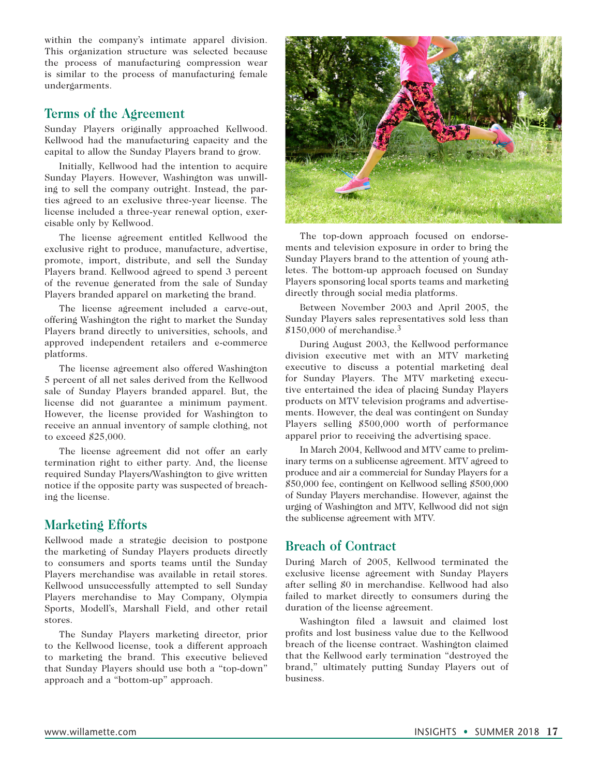within the company's intimate apparel division. This organization structure was selected because the process of manufacturing compression wear is similar to the process of manufacturing female undergarments.

### **Terms of the Agreement**

Sunday Players originally approached Kellwood. Kellwood had the manufacturing capacity and the capital to allow the Sunday Players brand to grow.

Initially, Kellwood had the intention to acquire Sunday Players. However, Washington was unwilling to sell the company outright. Instead, the parties agreed to an exclusive three-year license. The license included a three-year renewal option, exercisable only by Kellwood.

The license agreement entitled Kellwood the exclusive right to produce, manufacture, advertise, promote, import, distribute, and sell the Sunday Players brand. Kellwood agreed to spend 3 percent of the revenue generated from the sale of Sunday Players branded apparel on marketing the brand.

The license agreement included a carve-out, offering Washington the right to market the Sunday Players brand directly to universities, schools, and approved independent retailers and e-commerce platforms.

The license agreement also offered Washington 5 percent of all net sales derived from the Kellwood sale of Sunday Players branded apparel. But, the license did not guarantee a minimum payment. However, the license provided for Washington to receive an annual inventory of sample clothing, not to exceed \$25,000.

The license agreement did not offer an early termination right to either party. And, the license required Sunday Players/Washington to give written notice if the opposite party was suspected of breaching the license.

# **Marketing Efforts**

Kellwood made a strategic decision to postpone the marketing of Sunday Players products directly to consumers and sports teams until the Sunday Players merchandise was available in retail stores. Kellwood unsuccessfully attempted to sell Sunday Players merchandise to May Company, Olympia Sports, Modell's, Marshall Field, and other retail stores.

The Sunday Players marketing director, prior to the Kellwood license, took a different approach to marketing the brand. This executive believed that Sunday Players should use both a "top-down" approach and a "bottom-up" approach.



The top-down approach focused on endorsements and television exposure in order to bring the Sunday Players brand to the attention of young athletes. The bottom-up approach focused on Sunday Players sponsoring local sports teams and marketing directly through social media platforms.

Between November 2003 and April 2005, the Sunday Players sales representatives sold less than  $$150,000$  of merchandise.<sup>3</sup>

During August 2003, the Kellwood performance division executive met with an MTV marketing executive to discuss a potential marketing deal for Sunday Players. The MTV marketing executive entertained the idea of placing Sunday Players products on MTV television programs and advertisements. However, the deal was contingent on Sunday Players selling \$500,000 worth of performance apparel prior to receiving the advertising space.

In March 2004, Kellwood and MTV came to preliminary terms on a sublicense agreement. MTV agreed to produce and air a commercial for Sunday Players for a \$50,000 fee, contingent on Kellwood selling \$500,000 of Sunday Players merchandise. However, against the urging of Washington and MTV, Kellwood did not sign the sublicense agreement with MTV.

# **Breach of Contract**

During March of 2005, Kellwood terminated the exclusive license agreement with Sunday Players after selling \$0 in merchandise. Kellwood had also failed to market directly to consumers during the duration of the license agreement.

Washington filed a lawsuit and claimed lost profits and lost business value due to the Kellwood breach of the license contract. Washington claimed that the Kellwood early termination "destroyed the brand," ultimately putting Sunday Players out of business.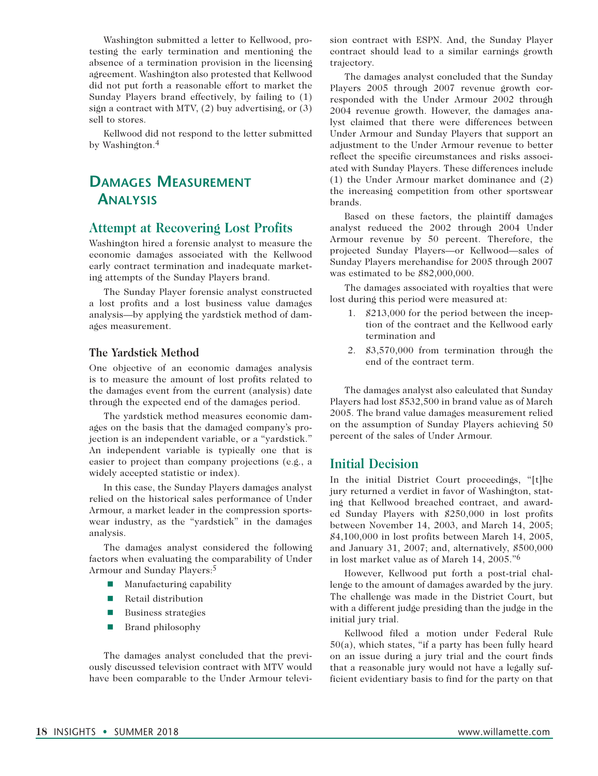Washington submitted a letter to Kellwood, protesting the early termination and mentioning the absence of a termination provision in the licensing agreement. Washington also protested that Kellwood did not put forth a reasonable effort to market the Sunday Players brand effectively, by failing to (1) sign a contract with MTV, (2) buy advertising, or (3) sell to stores.

Kellwood did not respond to the letter submitted by Washington.4

# **Damages Measurement Analysis**

#### **Attempt at Recovering Lost Profits**

Washington hired a forensic analyst to measure the economic damages associated with the Kellwood early contract termination and inadequate marketing attempts of the Sunday Players brand.

The Sunday Player forensic analyst constructed a lost profits and a lost business value damages analysis—by applying the yardstick method of damages measurement.

#### **The Yardstick Method**

One objective of an economic damages analysis is to measure the amount of lost profits related to the damages event from the current (analysis) date through the expected end of the damages period.

The yardstick method measures economic damages on the basis that the damaged company's projection is an independent variable, or a "yardstick." An independent variable is typically one that is easier to project than company projections (e.g., a widely accepted statistic or index).

In this case, the Sunday Players damages analyst relied on the historical sales performance of Under Armour, a market leader in the compression sportswear industry, as the "yardstick" in the damages analysis.

The damages analyst considered the following factors when evaluating the comparability of Under Armour and Sunday Players:5

- **n** Manufacturing capability
- $\blacksquare$  Retail distribution
- **n** Business strategies
- $\blacksquare$  Brand philosophy

The damages analyst concluded that the previously discussed television contract with MTV would have been comparable to the Under Armour television contract with ESPN. And, the Sunday Player contract should lead to a similar earnings growth trajectory.

The damages analyst concluded that the Sunday Players 2005 through 2007 revenue growth corresponded with the Under Armour 2002 through 2004 revenue growth. However, the damages analyst claimed that there were differences between Under Armour and Sunday Players that support an adjustment to the Under Armour revenue to better reflect the specific circumstances and risks associated with Sunday Players. These differences include (1) the Under Armour market dominance and (2) the increasing competition from other sportswear brands.

Based on these factors, the plaintiff damages analyst reduced the 2002 through 2004 Under Armour revenue by 50 percent. Therefore, the projected Sunday Players—or Kellwood—sales of Sunday Players merchandise for 2005 through 2007 was estimated to be \$82,000,000.

The damages associated with royalties that were lost during this period were measured at:

- 1. \$213,000 for the period between the inception of the contract and the Kellwood early termination and
- 2. \$3,570,000 from termination through the end of the contract term.

The damages analyst also calculated that Sunday Players had lost \$532,500 in brand value as of March 2005. The brand value damages measurement relied on the assumption of Sunday Players achieving 50 percent of the sales of Under Armour.

#### **Initial Decision**

In the initial District Court proceedings, "[t]he jury returned a verdict in favor of Washington, stating that Kellwood breached contract, and awarded Sunday Players with \$250,000 in lost profits between November 14, 2003, and March 14, 2005; \$4,100,000 in lost profits between March 14, 2005, and January 31, 2007; and, alternatively, \$500,000 in lost market value as of March 14, 2005."6

However, Kellwood put forth a post-trial challenge to the amount of damages awarded by the jury. The challenge was made in the District Court, but with a different judge presiding than the judge in the initial jury trial.

Kellwood filed a motion under Federal Rule 50(a), which states, "if a party has been fully heard on an issue during a jury trial and the court finds that a reasonable jury would not have a legally sufficient evidentiary basis to find for the party on that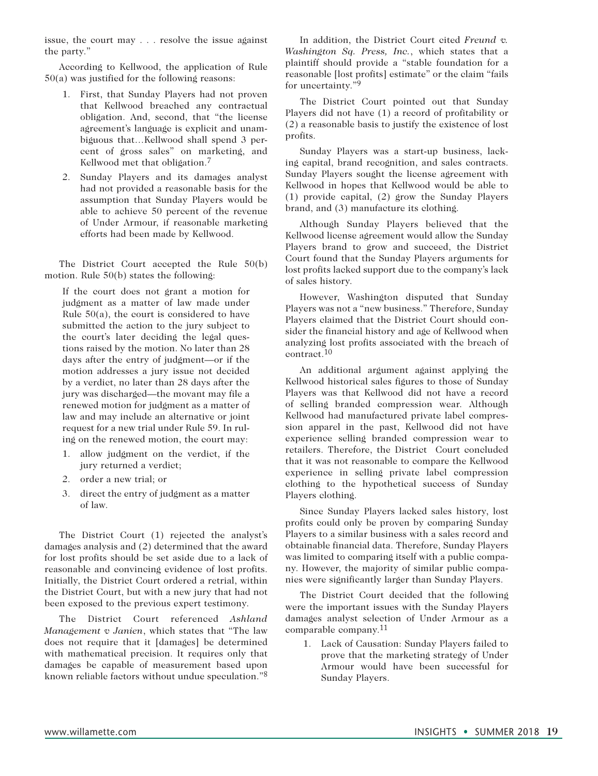issue, the court may . . . resolve the issue against the party."

According to Kellwood, the application of Rule 50(a) was justified for the following reasons:

- 1. First, that Sunday Players had not proven that Kellwood breached any contractual obligation. And, second, that "the license agreement's language is explicit and unambiguous that…Kellwood shall spend 3 percent of gross sales" on marketing, and Kellwood met that obligation.<sup>7</sup>
- 2. Sunday Players and its damages analyst had not provided a reasonable basis for the assumption that Sunday Players would be able to achieve 50 percent of the revenue of Under Armour, if reasonable marketing efforts had been made by Kellwood.

The District Court accepted the Rule 50(b) motion. Rule 50(b) states the following:

If the court does not grant a motion for judgment as a matter of law made under Rule  $50(a)$ , the court is considered to have submitted the action to the jury subject to the court's later deciding the legal questions raised by the motion. No later than 28 days after the entry of judgment—or if the motion addresses a jury issue not decided by a verdict, no later than 28 days after the jury was discharged—the movant may file a renewed motion for judgment as a matter of law and may include an alternative or joint request for a new trial under Rule 59. In ruling on the renewed motion, the court may:

- 1. allow judgment on the verdict, if the jury returned a verdict;
- 2. order a new trial; or
- 3. direct the entry of judgment as a matter of law.

The District Court (1) rejected the analyst's damages analysis and (2) determined that the award for lost profits should be set aside due to a lack of reasonable and convincing evidence of lost profits. Initially, the District Court ordered a retrial, within the District Court, but with a new jury that had not been exposed to the previous expert testimony.

The District Court referenced *Ashland Management v Janien*, which states that "The law does not require that it [damages] be determined with mathematical precision. It requires only that damages be capable of measurement based upon known reliable factors without undue speculation."8

In addition, the District Court cited *Freund v. Washington Sq. Press, Inc.*, which states that a plaintiff should provide a "stable foundation for a reasonable [lost profits] estimate" or the claim "fails for uncertainty."<sup>9</sup>

The District Court pointed out that Sunday Players did not have (1) a record of profitability or (2) a reasonable basis to justify the existence of lost profits.

Sunday Players was a start-up business, lacking capital, brand recognition, and sales contracts. Sunday Players sought the license agreement with Kellwood in hopes that Kellwood would be able to (1) provide capital, (2) grow the Sunday Players brand, and (3) manufacture its clothing.

Although Sunday Players believed that the Kellwood license agreement would allow the Sunday Players brand to grow and succeed, the District Court found that the Sunday Players arguments for lost profits lacked support due to the company's lack of sales history.

However, Washington disputed that Sunday Players was not a "new business." Therefore, Sunday Players claimed that the District Court should consider the financial history and age of Kellwood when analyzing lost profits associated with the breach of contract.10

An additional argument against applying the Kellwood historical sales figures to those of Sunday Players was that Kellwood did not have a record of selling branded compression wear. Although Kellwood had manufactured private label compression apparel in the past, Kellwood did not have experience selling branded compression wear to retailers. Therefore, the District Court concluded that it was not reasonable to compare the Kellwood experience in selling private label compression clothing to the hypothetical success of Sunday Players clothing.

Since Sunday Players lacked sales history, lost profits could only be proven by comparing Sunday Players to a similar business with a sales record and obtainable financial data. Therefore, Sunday Players was limited to comparing itself with a public company. However, the majority of similar public companies were significantly larger than Sunday Players.

The District Court decided that the following were the important issues with the Sunday Players damages analyst selection of Under Armour as a comparable company.11

1. Lack of Causation: Sunday Players failed to prove that the marketing strategy of Under Armour would have been successful for Sunday Players.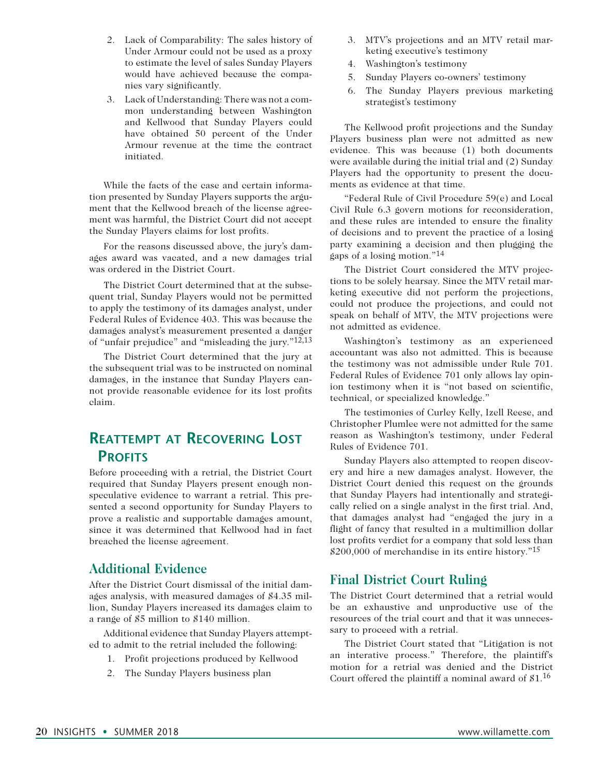- 2. Lack of Comparability: The sales history of Under Armour could not be used as a proxy to estimate the level of sales Sunday Players would have achieved because the companies vary significantly.
- 3. Lack of Understanding: There was not a common understanding between Washington and Kellwood that Sunday Players could have obtained 50 percent of the Under Armour revenue at the time the contract initiated.

While the facts of the case and certain information presented by Sunday Players supports the argument that the Kellwood breach of the license agreement was harmful, the District Court did not accept the Sunday Players claims for lost profits.

For the reasons discussed above, the jury's damages award was vacated, and a new damages trial was ordered in the District Court.

The District Court determined that at the subsequent trial, Sunday Players would not be permitted to apply the testimony of its damages analyst, under Federal Rules of Evidence 403. This was because the damages analyst's measurement presented a danger of "unfair prejudice" and "misleading the jury."12,13

The District Court determined that the jury at the subsequent trial was to be instructed on nominal damages, in the instance that Sunday Players cannot provide reasonable evidence for its lost profits claim.

# **Reattempt at Recovering Lost PROFITS**

Before proceeding with a retrial, the District Court required that Sunday Players present enough nonspeculative evidence to warrant a retrial. This presented a second opportunity for Sunday Players to prove a realistic and supportable damages amount, since it was determined that Kellwood had in fact breached the license agreement.

### **Additional Evidence**

After the District Court dismissal of the initial damages analysis, with measured damages of \$4.35 million, Sunday Players increased its damages claim to a range of \$5 million to \$140 million.

Additional evidence that Sunday Players attempted to admit to the retrial included the following:

- 1. Profit projections produced by Kellwood
- 2. The Sunday Players business plan
- 3. MTV's projections and an MTV retail marketing executive's testimony
- 4. Washington's testimony
- 5. Sunday Players co-owners' testimony
- 6. The Sunday Players previous marketing strategist's testimony

The Kellwood profit projections and the Sunday Players business plan were not admitted as new evidence. This was because (1) both documents were available during the initial trial and (2) Sunday Players had the opportunity to present the documents as evidence at that time.

"Federal Rule of Civil Procedure 59(e) and Local Civil Rule 6.3 govern motions for reconsideration, and these rules are intended to ensure the finality of decisions and to prevent the practice of a losing party examining a decision and then plugging the gaps of a losing motion."14

The District Court considered the MTV projections to be solely hearsay. Since the MTV retail marketing executive did not perform the projections, could not produce the projections, and could not speak on behalf of MTV, the MTV projections were not admitted as evidence.

Washington's testimony as an experienced accountant was also not admitted. This is because the testimony was not admissible under Rule 701. Federal Rules of Evidence 701 only allows lay opinion testimony when it is "not based on scientific, technical, or specialized knowledge."

The testimonies of Curley Kelly, Izell Reese, and Christopher Plumlee were not admitted for the same reason as Washington's testimony, under Federal Rules of Evidence 701.

Sunday Players also attempted to reopen discovery and hire a new damages analyst. However, the District Court denied this request on the grounds that Sunday Players had intentionally and strategically relied on a single analyst in the first trial. And, that damages analyst had "engaged the jury in a flight of fancy that resulted in a multimillion dollar lost profits verdict for a company that sold less than  $$200,000$  of merchandise in its entire history."<sup>15</sup>

### **Final District Court Ruling**

The District Court determined that a retrial would be an exhaustive and unproductive use of the resources of the trial court and that it was unnecessary to proceed with a retrial.

The District Court stated that "Litigation is not an interative process." Therefore, the plaintiff's motion for a retrial was denied and the District Court offered the plaintiff a nominal award of \$1.16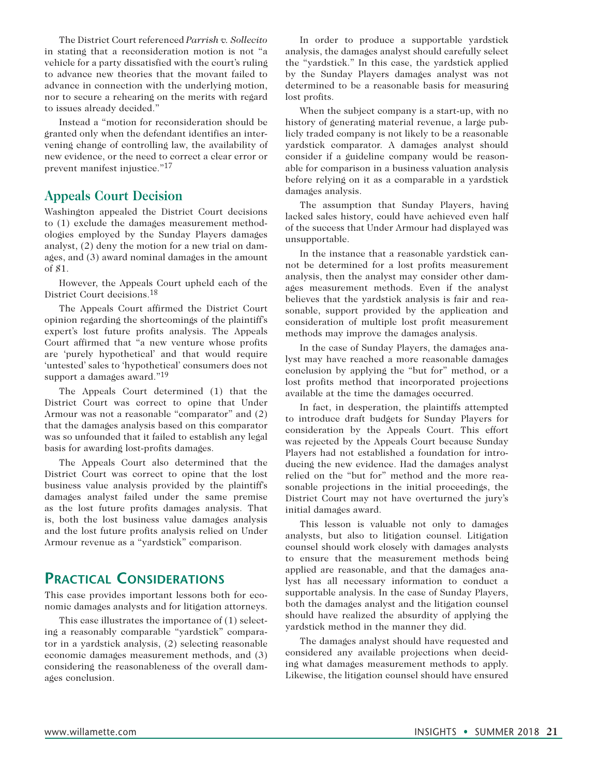The District Court referenced *Parrish v. Sollecito*  in stating that a reconsideration motion is not "a vehicle for a party dissatisfied with the court's ruling to advance new theories that the movant failed to advance in connection with the underlying motion, nor to secure a rehearing on the merits with regard to issues already decided."

Instead a "motion for reconsideration should be granted only when the defendant identifies an intervening change of controlling law, the availability of new evidence, or the need to correct a clear error or prevent manifest injustice."17

### **Appeals Court Decision**

Washington appealed the District Court decisions to (1) exclude the damages measurement methodologies employed by the Sunday Players damages analyst, (2) deny the motion for a new trial on damages, and (3) award nominal damages in the amount of \$1.

However, the Appeals Court upheld each of the District Court decisions.18

The Appeals Court affirmed the District Court opinion regarding the shortcomings of the plaintiff's expert's lost future profits analysis. The Appeals Court affirmed that "a new venture whose profits are 'purely hypothetical' and that would require 'untested' sales to 'hypothetical' consumers does not support a damages award."19

The Appeals Court determined (1) that the District Court was correct to opine that Under Armour was not a reasonable "comparator" and (2) that the damages analysis based on this comparator was so unfounded that it failed to establish any legal basis for awarding lost-profits damages.

The Appeals Court also determined that the District Court was correct to opine that the lost business value analysis provided by the plaintiff's damages analyst failed under the same premise as the lost future profits damages analysis. That is, both the lost business value damages analysis and the lost future profits analysis relied on Under Armour revenue as a "yardstick" comparison.

# **Practical Considerations**

This case provides important lessons both for economic damages analysts and for litigation attorneys.

This case illustrates the importance of (1) selecting a reasonably comparable "yardstick" comparator in a yardstick analysis, (2) selecting reasonable economic damages measurement methods, and (3) considering the reasonableness of the overall damages conclusion.

In order to produce a supportable yardstick analysis, the damages analyst should carefully select the "yardstick." In this case, the yardstick applied by the Sunday Players damages analyst was not determined to be a reasonable basis for measuring lost profits.

When the subject company is a start-up, with no history of generating material revenue, a large publicly traded company is not likely to be a reasonable yardstick comparator. A damages analyst should consider if a guideline company would be reasonable for comparison in a business valuation analysis before relying on it as a comparable in a yardstick damages analysis.

The assumption that Sunday Players, having lacked sales history, could have achieved even half of the success that Under Armour had displayed was unsupportable.

In the instance that a reasonable yardstick cannot be determined for a lost profits measurement analysis, then the analyst may consider other damages measurement methods. Even if the analyst believes that the yardstick analysis is fair and reasonable, support provided by the application and consideration of multiple lost profit measurement methods may improve the damages analysis.

In the case of Sunday Players, the damages analyst may have reached a more reasonable damages conclusion by applying the "but for" method, or a lost profits method that incorporated projections available at the time the damages occurred.

In fact, in desperation, the plaintiffs attempted to introduce draft budgets for Sunday Players for consideration by the Appeals Court. This effort was rejected by the Appeals Court because Sunday Players had not established a foundation for introducing the new evidence. Had the damages analyst relied on the "but for" method and the more reasonable projections in the initial proceedings, the District Court may not have overturned the jury's initial damages award.

This lesson is valuable not only to damages analysts, but also to litigation counsel. Litigation counsel should work closely with damages analysts to ensure that the measurement methods being applied are reasonable, and that the damages analyst has all necessary information to conduct a supportable analysis. In the case of Sunday Players, both the damages analyst and the litigation counsel should have realized the absurdity of applying the yardstick method in the manner they did.

The damages analyst should have requested and considered any available projections when deciding what damages measurement methods to apply. Likewise, the litigation counsel should have ensured